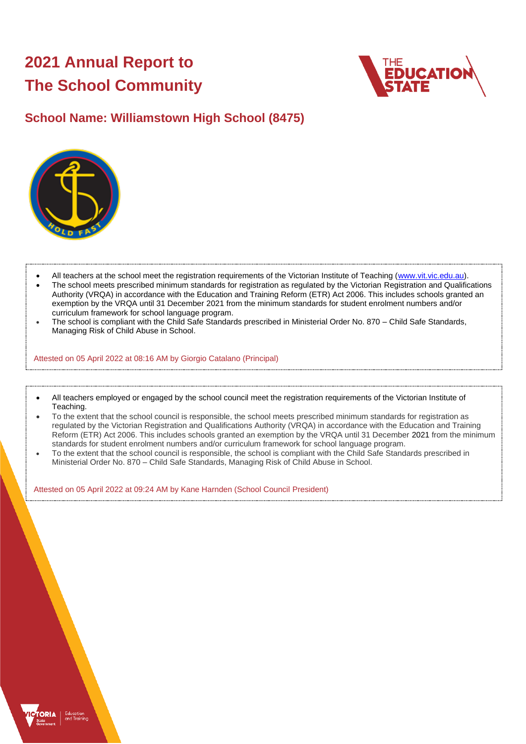# **2021 Annual Report to The School Community**



## **School Name: Williamstown High School (8475)**



- All teachers at the school meet the registration requirements of the Victorian Institute of Teaching [\(www.vit.vic.edu.au\)](https://www.vit.vic.edu.au/).
- The school meets prescribed minimum standards for registration as regulated by the Victorian Registration and Qualifications Authority (VRQA) in accordance with the Education and Training Reform (ETR) Act 2006. This includes schools granted an exemption by the VRQA until 31 December 2021 from the minimum standards for student enrolment numbers and/or curriculum framework for school language program.
- The school is compliant with the Child Safe Standards prescribed in Ministerial Order No. 870 Child Safe Standards, Managing Risk of Child Abuse in School.

Attested on 05 April 2022 at 08:16 AM by Giorgio Catalano (Principal)

- All teachers employed or engaged by the school council meet the registration requirements of the Victorian Institute of Teaching.
- To the extent that the school council is responsible, the school meets prescribed minimum standards for registration as regulated by the Victorian Registration and Qualifications Authority (VRQA) in accordance with the Education and Training Reform (ETR) Act 2006. This includes schools granted an exemption by the VRQA until 31 December 2021 from the minimum standards for student enrolment numbers and/or curriculum framework for school language program.
- To the extent that the school council is responsible, the school is compliant with the Child Safe Standards prescribed in Ministerial Order No. 870 – Child Safe Standards, Managing Risk of Child Abuse in School.

Attested on 05 April 2022 at 09:24 AM by Kane Harnden (School Council President)

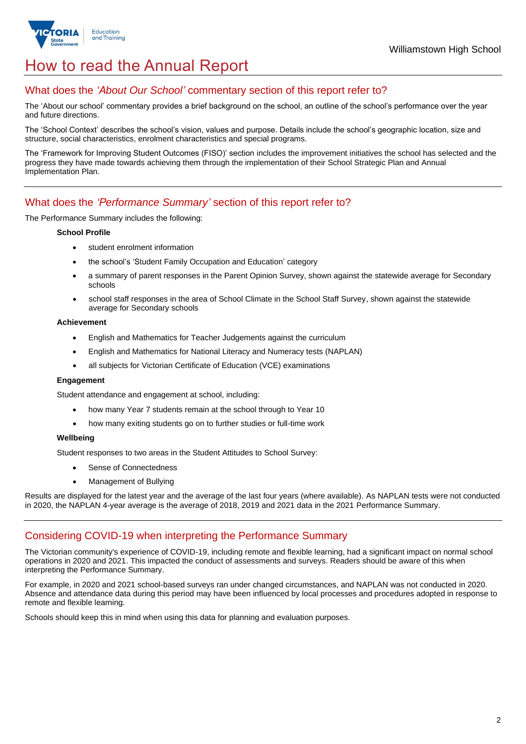

## How to read the Annual Report

## What does the *'About Our School'* commentary section of this report refer to?

The 'About our school' commentary provides a brief background on the school, an outline of the school's performance over the year and future directions.

The 'School Context' describes the school's vision, values and purpose. Details include the school's geographic location, size and structure, social characteristics, enrolment characteristics and special programs.

The 'Framework for Improving Student Outcomes (FISO)' section includes the improvement initiatives the school has selected and the progress they have made towards achieving them through the implementation of their School Strategic Plan and Annual Implementation Plan.

## What does the *'Performance Summary'* section of this report refer to?

The Performance Summary includes the following:

#### **School Profile**

- student enrolment information
- the school's 'Student Family Occupation and Education' category
- a summary of parent responses in the Parent Opinion Survey, shown against the statewide average for Secondary schools
- school staff responses in the area of School Climate in the School Staff Survey, shown against the statewide average for Secondary schools

#### **Achievement**

- English and Mathematics for Teacher Judgements against the curriculum
- English and Mathematics for National Literacy and Numeracy tests (NAPLAN)
- all subjects for Victorian Certificate of Education (VCE) examinations

#### **Engagement**

Student attendance and engagement at school, including:

- how many Year 7 students remain at the school through to Year 10
- how many exiting students go on to further studies or full-time work

#### **Wellbeing**

Student responses to two areas in the Student Attitudes to School Survey:

- Sense of Connectedness
- Management of Bullying

Results are displayed for the latest year and the average of the last four years (where available). As NAPLAN tests were not conducted in 2020, the NAPLAN 4-year average is the average of 2018, 2019 and 2021 data in the 2021 Performance Summary.

#### Considering COVID-19 when interpreting the Performance Summary

The Victorian community's experience of COVID-19, including remote and flexible learning, had a significant impact on normal school operations in 2020 and 2021. This impacted the conduct of assessments and surveys. Readers should be aware of this when interpreting the Performance Summary.

For example, in 2020 and 2021 school-based surveys ran under changed circumstances, and NAPLAN was not conducted in 2020. Absence and attendance data during this period may have been influenced by local processes and procedures adopted in response to remote and flexible learning.

Schools should keep this in mind when using this data for planning and evaluation purposes.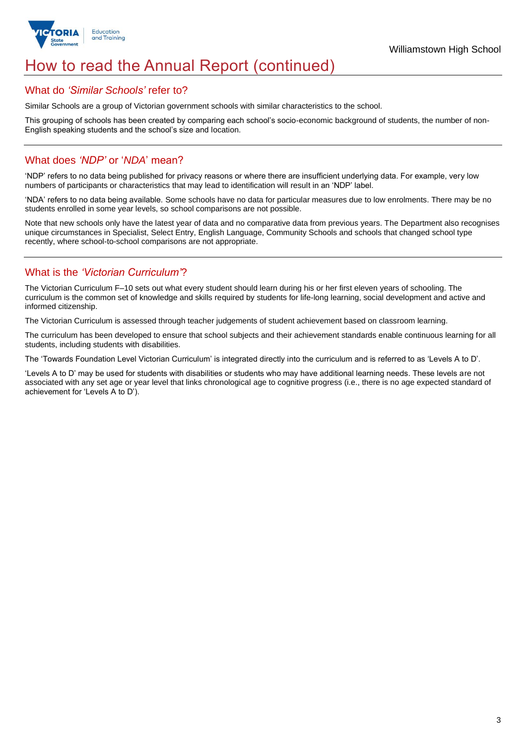

## How to read the Annual Report (continued)

#### What do *'Similar Schools'* refer to?

Similar Schools are a group of Victorian government schools with similar characteristics to the school.

This grouping of schools has been created by comparing each school's socio-economic background of students, the number of non-English speaking students and the school's size and location.

## What does *'NDP'* or '*NDA*' mean?

'NDP' refers to no data being published for privacy reasons or where there are insufficient underlying data. For example, very low numbers of participants or characteristics that may lead to identification will result in an 'NDP' label.

'NDA' refers to no data being available. Some schools have no data for particular measures due to low enrolments. There may be no students enrolled in some year levels, so school comparisons are not possible.

Note that new schools only have the latest year of data and no comparative data from previous years. The Department also recognises unique circumstances in Specialist, Select Entry, English Language, Community Schools and schools that changed school type recently, where school-to-school comparisons are not appropriate.

## What is the *'Victorian Curriculum'*?

The Victorian Curriculum F–10 sets out what every student should learn during his or her first eleven years of schooling. The curriculum is the common set of knowledge and skills required by students for life-long learning, social development and active and informed citizenship.

The Victorian Curriculum is assessed through teacher judgements of student achievement based on classroom learning.

The curriculum has been developed to ensure that school subjects and their achievement standards enable continuous learning for all students, including students with disabilities.

The 'Towards Foundation Level Victorian Curriculum' is integrated directly into the curriculum and is referred to as 'Levels A to D'.

'Levels A to D' may be used for students with disabilities or students who may have additional learning needs. These levels are not associated with any set age or year level that links chronological age to cognitive progress (i.e., there is no age expected standard of achievement for 'Levels A to D').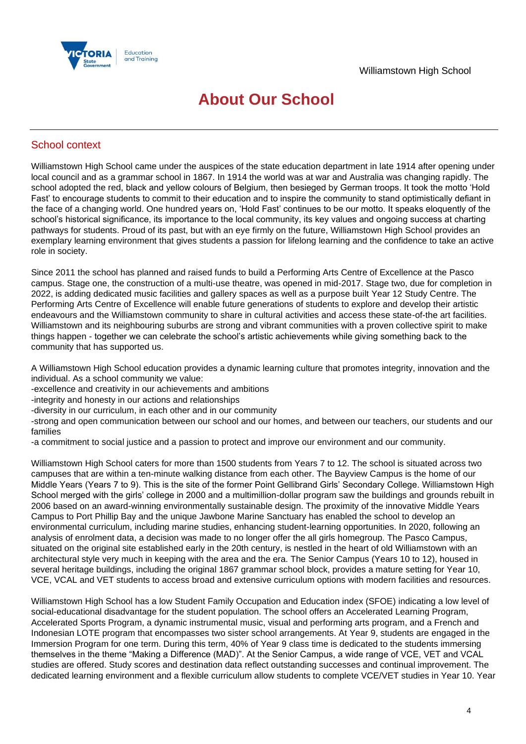

## **About Our School**

### School context

Williamstown High School came under the auspices of the state education department in late 1914 after opening under local council and as a grammar school in 1867. In 1914 the world was at war and Australia was changing rapidly. The school adopted the red, black and yellow colours of Belgium, then besieged by German troops. It took the motto 'Hold Fast' to encourage students to commit to their education and to inspire the community to stand optimistically defiant in the face of a changing world. One hundred years on, 'Hold Fast' continues to be our motto. It speaks eloquently of the school's historical significance, its importance to the local community, its key values and ongoing success at charting pathways for students. Proud of its past, but with an eye firmly on the future, Williamstown High School provides an exemplary learning environment that gives students a passion for lifelong learning and the confidence to take an active role in society.

Since 2011 the school has planned and raised funds to build a Performing Arts Centre of Excellence at the Pasco campus. Stage one, the construction of a multi-use theatre, was opened in mid-2017. Stage two, due for completion in 2022, is adding dedicated music facilities and gallery spaces as well as a purpose built Year 12 Study Centre. The Performing Arts Centre of Excellence will enable future generations of students to explore and develop their artistic endeavours and the Williamstown community to share in cultural activities and access these state-of-the art facilities. Williamstown and its neighbouring suburbs are strong and vibrant communities with a proven collective spirit to make things happen - together we can celebrate the school's artistic achievements while giving something back to the community that has supported us.

A Williamstown High School education provides a dynamic learning culture that promotes integrity, innovation and the individual. As a school community we value:

-excellence and creativity in our achievements and ambitions

-integrity and honesty in our actions and relationships

-diversity in our curriculum, in each other and in our community

-strong and open communication between our school and our homes, and between our teachers, our students and our families

-a commitment to social justice and a passion to protect and improve our environment and our community.

Williamstown High School caters for more than 1500 students from Years 7 to 12. The school is situated across two campuses that are within a ten-minute walking distance from each other. The Bayview Campus is the home of our Middle Years (Years 7 to 9). This is the site of the former Point Gellibrand Girls' Secondary College. Williamstown High School merged with the girls' college in 2000 and a multimillion-dollar program saw the buildings and grounds rebuilt in 2006 based on an award-winning environmentally sustainable design. The proximity of the innovative Middle Years Campus to Port Phillip Bay and the unique Jawbone Marine Sanctuary has enabled the school to develop an environmental curriculum, including marine studies, enhancing student-learning opportunities. In 2020, following an analysis of enrolment data, a decision was made to no longer offer the all girls homegroup. The Pasco Campus, situated on the original site established early in the 20th century, is nestled in the heart of old Williamstown with an architectural style very much in keeping with the area and the era. The Senior Campus (Years 10 to 12), housed in several heritage buildings, including the original 1867 grammar school block, provides a mature setting for Year 10, VCE, VCAL and VET students to access broad and extensive curriculum options with modern facilities and resources.

Williamstown High School has a low Student Family Occupation and Education index (SFOE) indicating a low level of social-educational disadvantage for the student population. The school offers an Accelerated Learning Program, Accelerated Sports Program, a dynamic instrumental music, visual and performing arts program, and a French and Indonesian LOTE program that encompasses two sister school arrangements. At Year 9, students are engaged in the Immersion Program for one term. During this term, 40% of Year 9 class time is dedicated to the students immersing themselves in the theme "Making a Difference (MAD)". At the Senior Campus, a wide range of VCE, VET and VCAL studies are offered. Study scores and destination data reflect outstanding successes and continual improvement. The dedicated learning environment and a flexible curriculum allow students to complete VCE/VET studies in Year 10. Year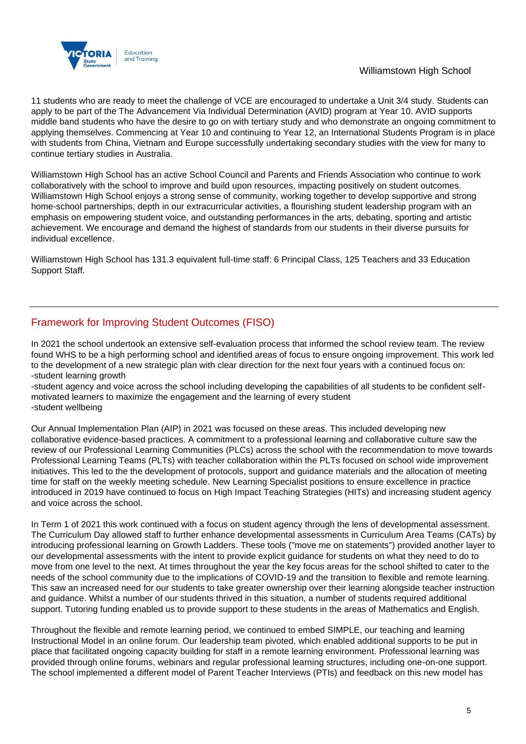

11 students who are ready to meet the challenge of VCE are encouraged to undertake a Unit 3/4 study. Students can apply to be part of the The Advancement Via Individual Determination (AVID) program at Year 10. AVID supports middle band students who have the desire to go on with tertiary study and who demonstrate an ongoing commitment to applying themselves. Commencing at Year 10 and continuing to Year 12, an International Students Program is in place with students from China, Vietnam and Europe successfully undertaking secondary studies with the view for many to continue tertiary studies in Australia.

Williamstown High School has an active School Council and Parents and Friends Association who continue to work collaboratively with the school to improve and build upon resources, impacting positively on student outcomes. Williamstown High School enjoys a strong sense of community, working together to develop supportive and strong home-school partnerships, depth in our extracurricular activities, a flourishing student leadership program with an emphasis on empowering student voice, and outstanding performances in the arts, debating, sporting and artistic achievement. We encourage and demand the highest of standards from our students in their diverse pursuits for individual excellence.

Williamstown High School has 131.3 equivalent full-time staff: 6 Principal Class, 125 Teachers and 33 Education Support Staff.

## Framework for Improving Student Outcomes (FISO)

In 2021 the school undertook an extensive self-evaluation process that informed the school review team. The review found WHS to be a high performing school and identified areas of focus to ensure ongoing improvement. This work led to the development of a new strategic plan with clear direction for the next four years with a continued focus on: -student learning growth

-student agency and voice across the school including developing the capabilities of all students to be confident selfmotivated learners to maximize the engagement and the learning of every student -student wellbeing

Our Annual Implementation Plan (AIP) in 2021 was focused on these areas. This included developing new collaborative evidence-based practices. A commitment to a professional learning and collaborative culture saw the review of our Professional Learning Communities (PLCs) across the school with the recommendation to move towards Professional Learning Teams (PLTs) with teacher collaboration within the PLTs focused on school wide improvement initiatives. This led to the the development of protocols, support and guidance materials and the allocation of meeting time for staff on the weekly meeting schedule. New Learning Specialist positions to ensure excellence in practice introduced in 2019 have continued to focus on High Impact Teaching Strategies (HITs) and increasing student agency and voice across the school.

In Term 1 of 2021 this work continued with a focus on student agency through the lens of developmental assessment. The Curriculum Day allowed staff to further enhance developmental assessments in Curriculum Area Teams (CATs) by introducing professional learning on Growth Ladders. These tools ("move me on statements") provided another layer to our developmental assessments with the intent to provide explicit guidance for students on what they need to do to move from one level to the next. At times throughout the year the key focus areas for the school shifted to cater to the needs of the school community due to the implications of COVID-19 and the transition to flexible and remote learning. This saw an increased need for our students to take greater ownership over their learning alongside teacher instruction and guidance. Whilst a number of our students thrived in this situation, a number of students required additional support. Tutoring funding enabled us to provide support to these students in the areas of Mathematics and English.

Throughout the flexible and remote learning period, we continued to embed SIMPLE, our teaching and learning Instructional Model in an online forum. Our leadership team pivoted, which enabled additional supports to be put in place that facilitated ongoing capacity building for staff in a remote learning environment. Professional learning was provided through online forums, webinars and regular professional learning structures, including one-on-one support. The school implemented a different model of Parent Teacher Interviews (PTIs) and feedback on this new model has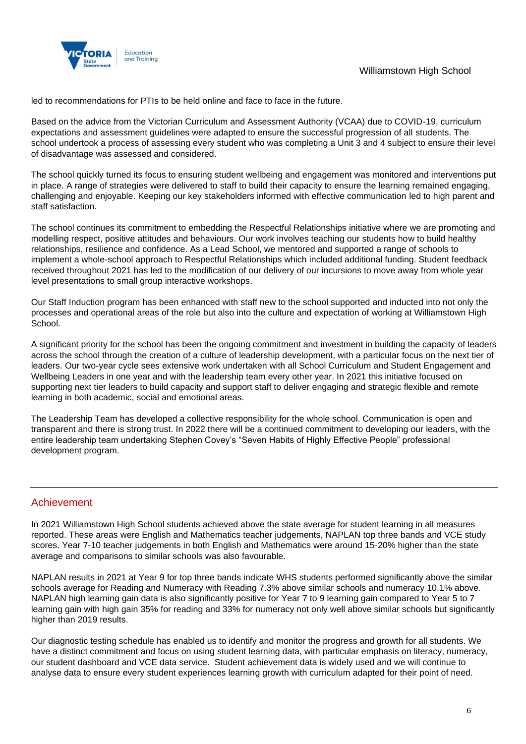

led to recommendations for PTIs to be held online and face to face in the future.

Based on the advice from the Victorian Curriculum and Assessment Authority (VCAA) due to COVID-19, curriculum expectations and assessment guidelines were adapted to ensure the successful progression of all students. The school undertook a process of assessing every student who was completing a Unit 3 and 4 subject to ensure their level of disadvantage was assessed and considered.

The school quickly turned its focus to ensuring student wellbeing and engagement was monitored and interventions put in place. A range of strategies were delivered to staff to build their capacity to ensure the learning remained engaging, challenging and enjoyable. Keeping our key stakeholders informed with effective communication led to high parent and staff satisfaction.

The school continues its commitment to embedding the Respectful Relationships initiative where we are promoting and modelling respect, positive attitudes and behaviours. Our work involves teaching our students how to build healthy relationships, resilience and confidence. As a Lead School, we mentored and supported a range of schools to implement a whole-school approach to Respectful Relationships which included additional funding. Student feedback received throughout 2021 has led to the modification of our delivery of our incursions to move away from whole year level presentations to small group interactive workshops.

Our Staff Induction program has been enhanced with staff new to the school supported and inducted into not only the processes and operational areas of the role but also into the culture and expectation of working at Williamstown High School.

A significant priority for the school has been the ongoing commitment and investment in building the capacity of leaders across the school through the creation of a culture of leadership development, with a particular focus on the next tier of leaders. Our two-year cycle sees extensive work undertaken with all School Curriculum and Student Engagement and Wellbeing Leaders in one year and with the leadership team every other year. In 2021 this initiative focused on supporting next tier leaders to build capacity and support staff to deliver engaging and strategic flexible and remote learning in both academic, social and emotional areas.

The Leadership Team has developed a collective responsibility for the whole school. Communication is open and transparent and there is strong trust. In 2022 there will be a continued commitment to developing our leaders, with the entire leadership team undertaking Stephen Covey's "Seven Habits of Highly Effective People" professional development program.

## Achievement

In 2021 Williamstown High School students achieved above the state average for student learning in all measures reported. These areas were English and Mathematics teacher judgements, NAPLAN top three bands and VCE study scores. Year 7-10 teacher judgements in both English and Mathematics were around 15-20% higher than the state average and comparisons to similar schools was also favourable.

NAPLAN results in 2021 at Year 9 for top three bands indicate WHS students performed significantly above the similar schools average for Reading and Numeracy with Reading 7.3% above similar schools and numeracy 10.1% above. NAPLAN high learning gain data is also significantly positive for Year 7 to 9 learning gain compared to Year 5 to 7 learning gain with high gain 35% for reading and 33% for numeracy not only well above similar schools but significantly higher than 2019 results.

Our diagnostic testing schedule has enabled us to identify and monitor the progress and growth for all students. We have a distinct commitment and focus on using student learning data, with particular emphasis on literacy, numeracy, our student dashboard and VCE data service. Student achievement data is widely used and we will continue to analyse data to ensure every student experiences learning growth with curriculum adapted for their point of need.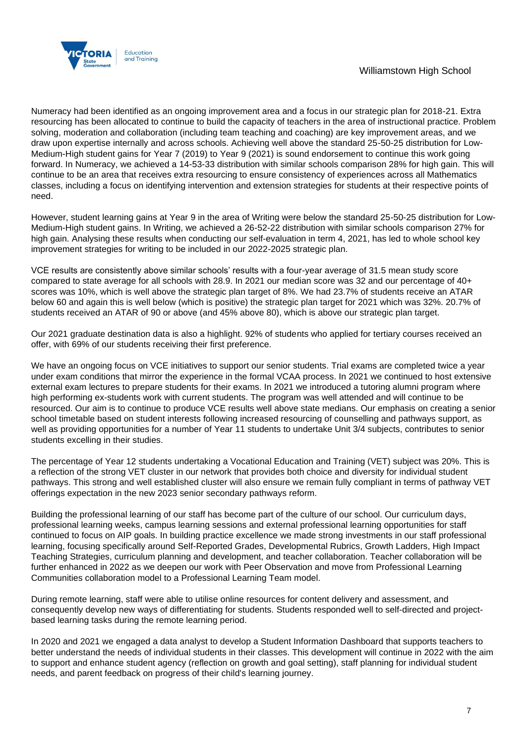

#### Williamstown High School

Numeracy had been identified as an ongoing improvement area and a focus in our strategic plan for 2018-21. Extra resourcing has been allocated to continue to build the capacity of teachers in the area of instructional practice. Problem solving, moderation and collaboration (including team teaching and coaching) are key improvement areas, and we draw upon expertise internally and across schools. Achieving well above the standard 25-50-25 distribution for Low-Medium-High student gains for Year 7 (2019) to Year 9 (2021) is sound endorsement to continue this work going forward. In Numeracy, we achieved a 14-53-33 distribution with similar schools comparison 28% for high gain. This will continue to be an area that receives extra resourcing to ensure consistency of experiences across all Mathematics classes, including a focus on identifying intervention and extension strategies for students at their respective points of need.

However, student learning gains at Year 9 in the area of Writing were below the standard 25-50-25 distribution for Low-Medium-High student gains. In Writing, we achieved a 26-52-22 distribution with similar schools comparison 27% for high gain. Analysing these results when conducting our self-evaluation in term 4, 2021, has led to whole school key improvement strategies for writing to be included in our 2022-2025 strategic plan.

VCE results are consistently above similar schools' results with a four-year average of 31.5 mean study score compared to state average for all schools with 28.9. In 2021 our median score was 32 and our percentage of 40+ scores was 10%, which is well above the strategic plan target of 8%. We had 23.7% of students receive an ATAR below 60 and again this is well below (which is positive) the strategic plan target for 2021 which was 32%. 20.7% of students received an ATAR of 90 or above (and 45% above 80), which is above our strategic plan target.

Our 2021 graduate destination data is also a highlight. 92% of students who applied for tertiary courses received an offer, with 69% of our students receiving their first preference.

We have an ongoing focus on VCE initiatives to support our senior students. Trial exams are completed twice a year under exam conditions that mirror the experience in the formal VCAA process. In 2021 we continued to host extensive external exam lectures to prepare students for their exams. In 2021 we introduced a tutoring alumni program where high performing ex-students work with current students. The program was well attended and will continue to be resourced. Our aim is to continue to produce VCE results well above state medians. Our emphasis on creating a senior school timetable based on student interests following increased resourcing of counselling and pathways support, as well as providing opportunities for a number of Year 11 students to undertake Unit 3/4 subjects, contributes to senior students excelling in their studies.

The percentage of Year 12 students undertaking a Vocational Education and Training (VET) subject was 20%. This is a reflection of the strong VET cluster in our network that provides both choice and diversity for individual student pathways. This strong and well established cluster will also ensure we remain fully compliant in terms of pathway VET offerings expectation in the new 2023 senior secondary pathways reform.

Building the professional learning of our staff has become part of the culture of our school. Our curriculum days, professional learning weeks, campus learning sessions and external professional learning opportunities for staff continued to focus on AIP goals. In building practice excellence we made strong investments in our staff professional learning, focusing specifically around Self-Reported Grades, Developmental Rubrics, Growth Ladders, High Impact Teaching Strategies, curriculum planning and development, and teacher collaboration. Teacher collaboration will be further enhanced in 2022 as we deepen our work with Peer Observation and move from Professional Learning Communities collaboration model to a Professional Learning Team model.

During remote learning, staff were able to utilise online resources for content delivery and assessment, and consequently develop new ways of differentiating for students. Students responded well to self-directed and projectbased learning tasks during the remote learning period.

In 2020 and 2021 we engaged a data analyst to develop a Student Information Dashboard that supports teachers to better understand the needs of individual students in their classes. This development will continue in 2022 with the aim to support and enhance student agency (reflection on growth and goal setting), staff planning for individual student needs, and parent feedback on progress of their child's learning journey.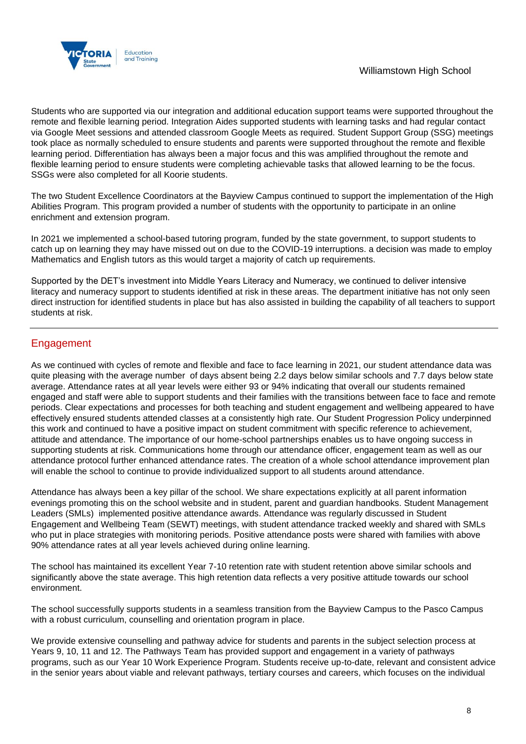

Students who are supported via our integration and additional education support teams were supported throughout the remote and flexible learning period. Integration Aides supported students with learning tasks and had regular contact via Google Meet sessions and attended classroom Google Meets as required. Student Support Group (SSG) meetings took place as normally scheduled to ensure students and parents were supported throughout the remote and flexible learning period. Differentiation has always been a major focus and this was amplified throughout the remote and flexible learning period to ensure students were completing achievable tasks that allowed learning to be the focus. SSGs were also completed for all Koorie students.

The two Student Excellence Coordinators at the Bayview Campus continued to support the implementation of the High Abilities Program. This program provided a number of students with the opportunity to participate in an online enrichment and extension program.

In 2021 we implemented a school-based tutoring program, funded by the state government, to support students to catch up on learning they may have missed out on due to the COVID-19 interruptions. a decision was made to employ Mathematics and English tutors as this would target a majority of catch up requirements.

Supported by the DET's investment into Middle Years Literacy and Numeracy, we continued to deliver intensive literacy and numeracy support to students identified at risk in these areas. The department initiative has not only seen direct instruction for identified students in place but has also assisted in building the capability of all teachers to support students at risk.

## **Engagement**

As we continued with cycles of remote and flexible and face to face learning in 2021, our student attendance data was quite pleasing with the average number of days absent being 2.2 days below similar schools and 7.7 days below state average. Attendance rates at all year levels were either 93 or 94% indicating that overall our students remained engaged and staff were able to support students and their families with the transitions between face to face and remote periods. Clear expectations and processes for both teaching and student engagement and wellbeing appeared to have effectively ensured students attended classes at a consistently high rate. Our Student Progression Policy underpinned this work and continued to have a positive impact on student commitment with specific reference to achievement, attitude and attendance. The importance of our home-school partnerships enables us to have ongoing success in supporting students at risk. Communications home through our attendance officer, engagement team as well as our attendance protocol further enhanced attendance rates. The creation of a whole school attendance improvement plan will enable the school to continue to provide individualized support to all students around attendance.

Attendance has always been a key pillar of the school. We share expectations explicitly at all parent information evenings promoting this on the school website and in student, parent and guardian handbooks. Student Management Leaders (SMLs) implemented positive attendance awards. Attendance was regularly discussed in Student Engagement and Wellbeing Team (SEWT) meetings, with student attendance tracked weekly and shared with SMLs who put in place strategies with monitoring periods. Positive attendance posts were shared with families with above 90% attendance rates at all year levels achieved during online learning.

The school has maintained its excellent Year 7-10 retention rate with student retention above similar schools and significantly above the state average. This high retention data reflects a very positive attitude towards our school environment.

The school successfully supports students in a seamless transition from the Bayview Campus to the Pasco Campus with a robust curriculum, counselling and orientation program in place.

We provide extensive counselling and pathway advice for students and parents in the subject selection process at Years 9, 10, 11 and 12. The Pathways Team has provided support and engagement in a variety of pathways programs, such as our Year 10 Work Experience Program. Students receive up-to-date, relevant and consistent advice in the senior years about viable and relevant pathways, tertiary courses and careers, which focuses on the individual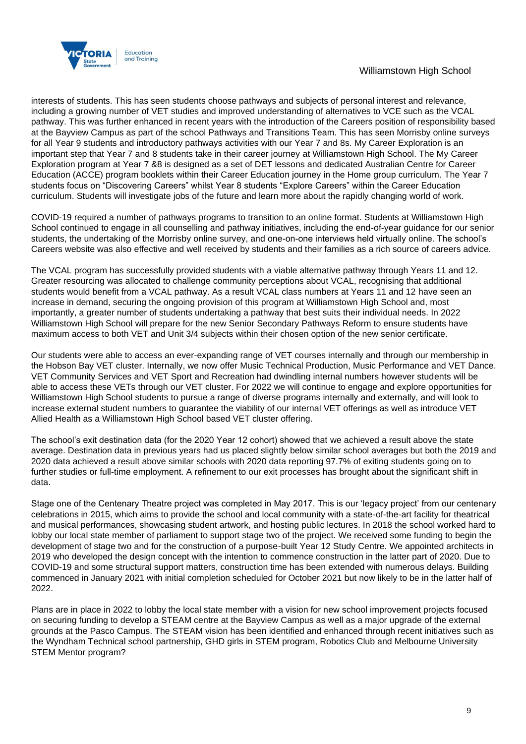

#### Williamstown High School

interests of students. This has seen students choose pathways and subjects of personal interest and relevance, including a growing number of VET studies and improved understanding of alternatives to VCE such as the VCAL pathway. This was further enhanced in recent years with the introduction of the Careers position of responsibility based at the Bayview Campus as part of the school Pathways and Transitions Team. This has seen Morrisby online surveys for all Year 9 students and introductory pathways activities with our Year 7 and 8s. My Career Exploration is an important step that Year 7 and 8 students take in their career journey at Williamstown High School. The My Career Exploration program at Year 7 &8 is designed as a set of DET lessons and dedicated Australian Centre for Career Education (ACCE) program booklets within their Career Education journey in the Home group curriculum. The Year 7 students focus on "Discovering Careers" whilst Year 8 students "Explore Careers" within the Career Education curriculum. Students will investigate jobs of the future and learn more about the rapidly changing world of work.

COVID-19 required a number of pathways programs to transition to an online format. Students at Williamstown High School continued to engage in all counselling and pathway initiatives, including the end-of-year guidance for our senior students, the undertaking of the Morrisby online survey, and one-on-one interviews held virtually online. The school's Careers website was also effective and well received by students and their families as a rich source of careers advice.

The VCAL program has successfully provided students with a viable alternative pathway through Years 11 and 12. Greater resourcing was allocated to challenge community perceptions about VCAL, recognising that additional students would benefit from a VCAL pathway. As a result VCAL class numbers at Years 11 and 12 have seen an increase in demand, securing the ongoing provision of this program at Williamstown High School and, most importantly, a greater number of students undertaking a pathway that best suits their individual needs. In 2022 Williamstown High School will prepare for the new Senior Secondary Pathways Reform to ensure students have maximum access to both VET and Unit 3/4 subjects within their chosen option of the new senior certificate.

Our students were able to access an ever-expanding range of VET courses internally and through our membership in the Hobson Bay VET cluster. Internally, we now offer Music Technical Production, Music Performance and VET Dance. VET Community Services and VET Sport and Recreation had dwindling internal numbers however students will be able to access these VETs through our VET cluster. For 2022 we will continue to engage and explore opportunities for Williamstown High School students to pursue a range of diverse programs internally and externally, and will look to increase external student numbers to guarantee the viability of our internal VET offerings as well as introduce VET Allied Health as a Williamstown High School based VET cluster offering.

The school's exit destination data (for the 2020 Year 12 cohort) showed that we achieved a result above the state average. Destination data in previous years had us placed slightly below similar school averages but both the 2019 and 2020 data achieved a result above similar schools with 2020 data reporting 97.7% of exiting students going on to further studies or full-time employment. A refinement to our exit processes has brought about the significant shift in data.

Stage one of the Centenary Theatre project was completed in May 2017. This is our 'legacy project' from our centenary celebrations in 2015, which aims to provide the school and local community with a state-of-the-art facility for theatrical and musical performances, showcasing student artwork, and hosting public lectures. In 2018 the school worked hard to lobby our local state member of parliament to support stage two of the project. We received some funding to begin the development of stage two and for the construction of a purpose-built Year 12 Study Centre. We appointed architects in 2019 who developed the design concept with the intention to commence construction in the latter part of 2020. Due to COVID-19 and some structural support matters, construction time has been extended with numerous delays. Building commenced in January 2021 with initial completion scheduled for October 2021 but now likely to be in the latter half of 2022.

Plans are in place in 2022 to lobby the local state member with a vision for new school improvement projects focused on securing funding to develop a STEAM centre at the Bayview Campus as well as a major upgrade of the external grounds at the Pasco Campus. The STEAM vision has been identified and enhanced through recent initiatives such as the Wyndham Technical school partnership, GHD girls in STEM program, Robotics Club and Melbourne University STEM Mentor program?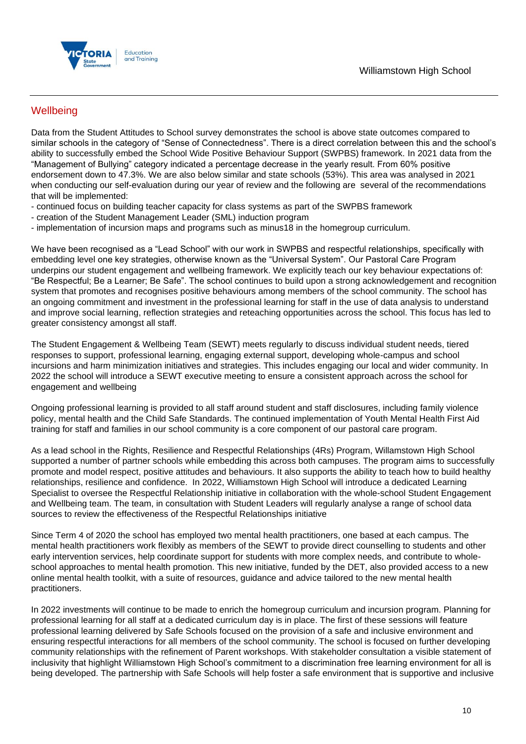

## **Wellbeing**

Data from the Student Attitudes to School survey demonstrates the school is above state outcomes compared to similar schools in the category of "Sense of Connectedness". There is a direct correlation between this and the school's ability to successfully embed the School Wide Positive Behaviour Support (SWPBS) framework. In 2021 data from the "Management of Bullying" category indicated a percentage decrease in the yearly result. From 60% positive endorsement down to 47.3%. We are also below similar and state schools (53%). This area was analysed in 2021 when conducting our self-evaluation during our year of review and the following are several of the recommendations that will be implemented:

- continued focus on building teacher capacity for class systems as part of the SWPBS framework
- creation of the Student Management Leader (SML) induction program
- implementation of incursion maps and programs such as minus18 in the homegroup curriculum.

We have been recognised as a "Lead School" with our work in SWPBS and respectful relationships, specifically with embedding level one key strategies, otherwise known as the "Universal System". Our Pastoral Care Program underpins our student engagement and wellbeing framework. We explicitly teach our key behaviour expectations of: "Be Respectful; Be a Learner; Be Safe". The school continues to build upon a strong acknowledgement and recognition system that promotes and recognises positive behaviours among members of the school community. The school has an ongoing commitment and investment in the professional learning for staff in the use of data analysis to understand and improve social learning, reflection strategies and reteaching opportunities across the school. This focus has led to greater consistency amongst all staff.

The Student Engagement & Wellbeing Team (SEWT) meets regularly to discuss individual student needs, tiered responses to support, professional learning, engaging external support, developing whole-campus and school incursions and harm minimization initiatives and strategies. This includes engaging our local and wider community. In 2022 the school will introduce a SEWT executive meeting to ensure a consistent approach across the school for engagement and wellbeing

Ongoing professional learning is provided to all staff around student and staff disclosures, including family violence policy, mental health and the Child Safe Standards. The continued implementation of Youth Mental Health First Aid training for staff and families in our school community is a core component of our pastoral care program.

As a lead school in the Rights, Resilience and Respectful Relationships (4Rs) Program, Willamstown High School supported a number of partner schools while embedding this across both campuses. The program aims to successfully promote and model respect, positive attitudes and behaviours. It also supports the ability to teach how to build healthy relationships, resilience and confidence. In 2022, Williamstown High School will introduce a dedicated Learning Specialist to oversee the Respectful Relationship initiative in collaboration with the whole-school Student Engagement and Wellbeing team. The team, in consultation with Student Leaders will regularly analyse a range of school data sources to review the effectiveness of the Respectful Relationships initiative

Since Term 4 of 2020 the school has employed two mental health practitioners, one based at each campus. The mental health practitioners work flexibly as members of the SEWT to provide direct counselling to students and other early intervention services, help coordinate support for students with more complex needs, and contribute to wholeschool approaches to mental health promotion. This new initiative, funded by the DET, also provided access to a new online mental health toolkit, with a suite of resources, guidance and advice tailored to the new mental health practitioners.

In 2022 investments will continue to be made to enrich the homegroup curriculum and incursion program. Planning for professional learning for all staff at a dedicated curriculum day is in place. The first of these sessions will feature professional learning delivered by Safe Schools focused on the provision of a safe and inclusive environment and ensuring respectful interactions for all members of the school community. The school is focused on further developing community relationships with the refinement of Parent workshops. With stakeholder consultation a visible statement of inclusivity that highlight Williamstown High School's commitment to a discrimination free learning environment for all is being developed. The partnership with Safe Schools will help foster a safe environment that is supportive and inclusive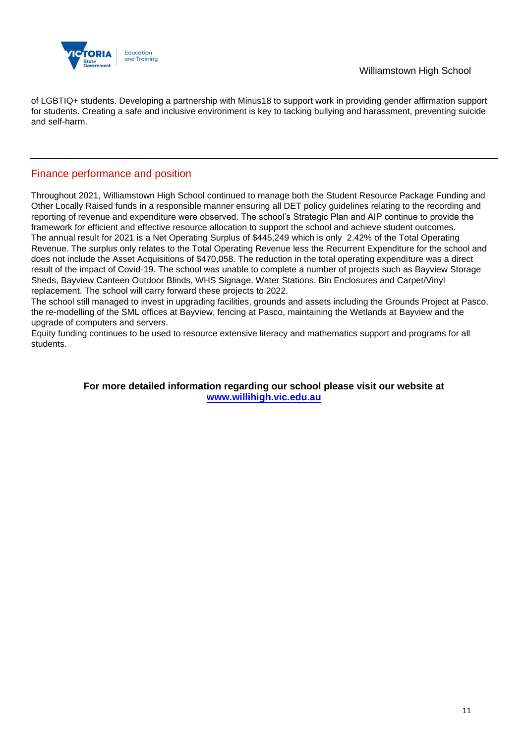

of LGBTIQ+ students. Developing a partnership with Minus18 to support work in providing gender affirmation support for students. Creating a safe and inclusive environment is key to tacking bullying and harassment, preventing suicide and self-harm.

## Finance performance and position

Throughout 2021, Williamstown High School continued to manage both the Student Resource Package Funding and Other Locally Raised funds in a responsible manner ensuring all DET policy guidelines relating to the recording and reporting of revenue and expenditure were observed. The school's Strategic Plan and AIP continue to provide the framework for efficient and effective resource allocation to support the school and achieve student outcomes. The annual result for 2021 is a Net Operating Surplus of \$445,249 which is only 2.42% of the Total Operating Revenue. The surplus only relates to the Total Operating Revenue less the Recurrent Expenditure for the school and does not include the Asset Acquisitions of \$470,058. The reduction in the total operating expenditure was a direct result of the impact of Covid-19. The school was unable to complete a number of projects such as Bayview Storage Sheds, Bayview Canteen Outdoor Blinds, WHS Signage, Water Stations, Bin Enclosures and Carpet/Vinyl replacement. The school will carry forward these projects to 2022.

The school still managed to invest in upgrading facilities, grounds and assets including the Grounds Project at Pasco, the re-modelling of the SML offices at Bayview, fencing at Pasco, maintaining the Wetlands at Bayview and the upgrade of computers and servers.

Equity funding continues to be used to resource extensive literacy and mathematics support and programs for all students.

> **For more detailed information regarding our school please visit our website at [www.willihigh.vic.edu.au](file:///C:/Users/02241533/Downloads/www.willihigh.vic.edu.au)**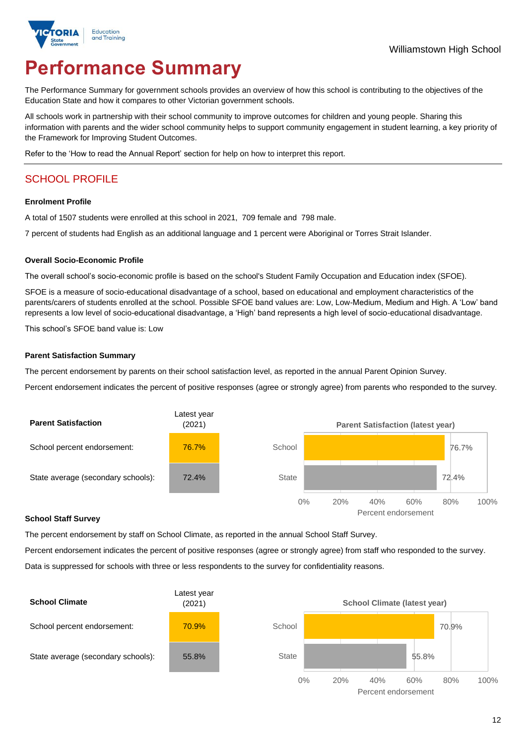

# **Performance Summary**

The Performance Summary for government schools provides an overview of how this school is contributing to the objectives of the Education State and how it compares to other Victorian government schools.

All schools work in partnership with their school community to improve outcomes for children and young people. Sharing this information with parents and the wider school community helps to support community engagement in student learning, a key priority of the Framework for Improving Student Outcomes.

Refer to the 'How to read the Annual Report' section for help on how to interpret this report.

## SCHOOL PROFILE

#### **Enrolment Profile**

A total of 1507 students were enrolled at this school in 2021, 709 female and 798 male.

7 percent of students had English as an additional language and 1 percent were Aboriginal or Torres Strait Islander.

#### **Overall Socio-Economic Profile**

The overall school's socio-economic profile is based on the school's Student Family Occupation and Education index (SFOE).

SFOE is a measure of socio-educational disadvantage of a school, based on educational and employment characteristics of the parents/carers of students enrolled at the school. Possible SFOE band values are: Low, Low-Medium, Medium and High. A 'Low' band represents a low level of socio-educational disadvantage, a 'High' band represents a high level of socio-educational disadvantage.

This school's SFOE band value is: Low

#### **Parent Satisfaction Summary**

The percent endorsement by parents on their school satisfaction level, as reported in the annual Parent Opinion Survey.

Percent endorsement indicates the percent of positive responses (agree or strongly agree) from parents who responded to the survey.



#### **School Staff Survey**

The percent endorsement by staff on School Climate, as reported in the annual School Staff Survey.

Percent endorsement indicates the percent of positive responses (agree or strongly agree) from staff who responded to the survey. Data is suppressed for schools with three or less respondents to the survey for confidentiality reasons.

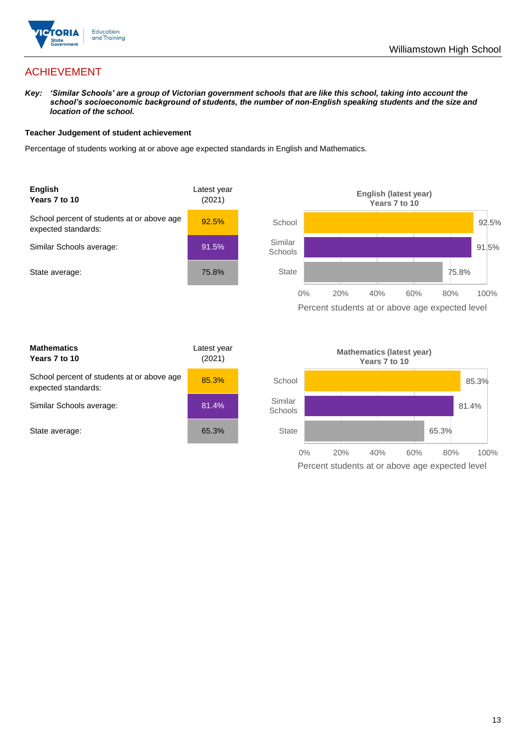

## ACHIEVEMENT

*Key: 'Similar Schools' are a group of Victorian government schools that are like this school, taking into account the school's socioeconomic background of students, the number of non-English speaking students and the size and location of the school.*

#### **Teacher Judgement of student achievement**

Percentage of students working at or above age expected standards in English and Mathematics.



| <b>Mathematics</b><br>Years 7 to 10                               | Latest year<br>(2021) |  |
|-------------------------------------------------------------------|-----------------------|--|
| School percent of students at or above age<br>expected standards: | 85.3%                 |  |
| Similar Schools average:                                          | 81.4%                 |  |
| State average:                                                    | 65.3%                 |  |

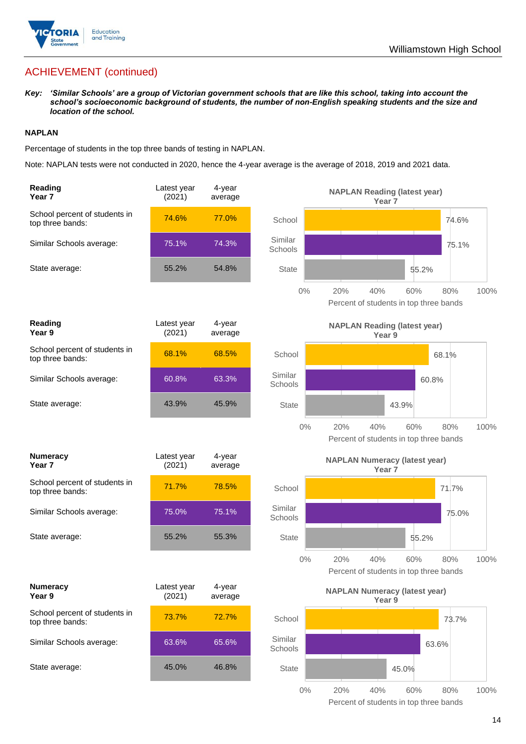

## ACHIEVEMENT (continued)

*Key: 'Similar Schools' are a group of Victorian government schools that are like this school, taking into account the school's socioeconomic background of students, the number of non-English speaking students and the size and location of the school.*

#### **NAPLAN**

Percentage of students in the top three bands of testing in NAPLAN.

Note: NAPLAN tests were not conducted in 2020, hence the 4-year average is the average of 2018, 2019 and 2021 data.

| Reading<br>Year <sub>7</sub>                      | Latest year<br>(2021) | 4-year<br>average |                    | <b>NAPLAN Reading (latest year)</b><br>Year <sub>7</sub>  |                                                      |      |
|---------------------------------------------------|-----------------------|-------------------|--------------------|-----------------------------------------------------------|------------------------------------------------------|------|
| School percent of students in<br>top three bands: | 74.6%                 | 77.0%             | School             |                                                           | 74.6%                                                |      |
| Similar Schools average:                          | 75.1%                 | 74.3%             | Similar<br>Schools |                                                           | 75.1%                                                |      |
| State average:                                    | 55.2%                 | 54.8%             | <b>State</b>       |                                                           | 55.2%                                                |      |
|                                                   |                       |                   | 0%                 | 40%<br>20%                                                | 60%<br>80%<br>Percent of students in top three bands | 100% |
| Reading<br>Year 9                                 | Latest year<br>(2021) | 4-year<br>average |                    | <b>NAPLAN Reading (latest year)</b><br>Year 9             |                                                      |      |
| School percent of students in<br>top three bands: | 68.1%                 | 68.5%             | School             |                                                           | 68.1%                                                |      |
| Similar Schools average:                          | 60.8%                 | 63.3%             | Similar<br>Schools |                                                           | 60.8%                                                |      |
| State average:                                    | 43.9%                 | 45.9%             | <b>State</b>       |                                                           | 43.9%                                                |      |
|                                                   |                       |                   | $0\%$              | 20%<br>40%                                                | 60%<br>80%<br>Percent of students in top three bands | 100% |
| <b>Numeracy</b><br>Year 7                         | Latest year<br>(2021) | 4-year<br>average |                    | <b>NAPLAN Numeracy (latest year)</b><br>Year <sub>7</sub> |                                                      |      |
| School percent of students in<br>top three bands: | 71.7%                 | 78.5%             | School             |                                                           | 71.7%                                                |      |
| Similar Schools average:                          | 75.0%                 | 75.1%             | Similar<br>Schools |                                                           | 75.0%                                                |      |
| State average:                                    | 55.2%                 | 55.3%             | <b>State</b>       |                                                           | 55.2%                                                |      |
|                                                   |                       |                   | $0\%$              | 40%<br>20%                                                | 60%<br>80%<br>Percent of students in top three bands | 100% |
| <b>Numeracy</b><br>Year 9                         | Latest year<br>(2021) | 4-year<br>average |                    | <b>NAPLAN Numeracy (latest year)</b><br>Year 9            |                                                      |      |
| School percent of students in<br>top three bands: | 73.7%                 | 72.7%             | School             |                                                           | 73.7%                                                |      |
| Similar Schools average:                          | 63.6%                 | 65.6%             | Similar<br>Schools |                                                           | 63.6%                                                |      |
| State average:                                    | 45.0%                 | 46.8%             | <b>State</b>       |                                                           | 45.0%                                                |      |
|                                                   |                       |                   | $0\%$              | 20%<br>40%                                                | 60%<br>80%                                           | 100% |

Percent of students in top three bands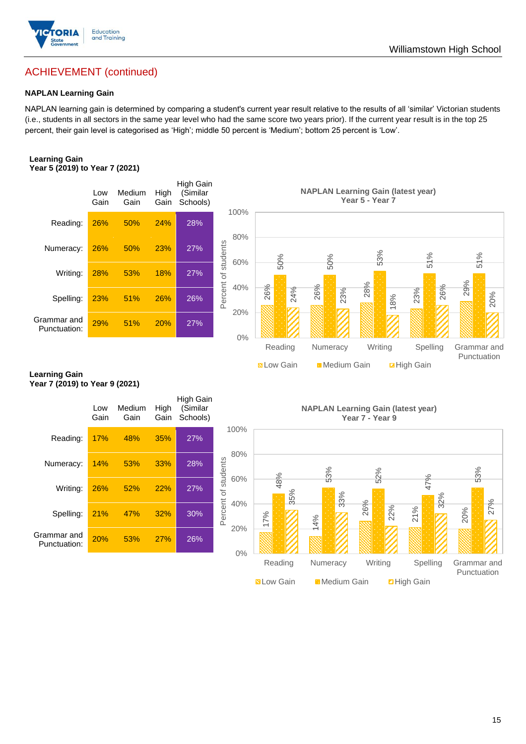

## ACHIEVEMENT (continued)

#### **NAPLAN Learning Gain**

NAPLAN learning gain is determined by comparing a student's current year result relative to the results of all 'similar' Victorian students (i.e., students in all sectors in the same year level who had the same score two years prior). If the current year result is in the top 25 percent, their gain level is categorised as 'High'; middle 50 percent is 'Medium'; bottom 25 percent is 'Low'.

#### **Learning Gain Year 5 (2019) to Year 7 (2021)**



#### **Learning Gain Year 7 (2019) to Year 9 (2021)**

|                             | Low<br>Gain | Medium<br>Gain | High<br>Gain | High Gain<br>(Similar<br>Schools) |                            |            | <b>NAPLANI</b> |
|-----------------------------|-------------|----------------|--------------|-----------------------------------|----------------------------|------------|----------------|
| Reading:                    | 17%         | 48%            | 35%          | 27%                               | 100%                       |            |                |
| Numeracy:                   | 14%         | 53%            | 33%          | 28%                               | 80%                        |            | 53%            |
| Writing:                    | 26%         | 52%            | 22%          | 27%                               | Percent of students<br>60% | 48%<br>35% |                |
| Spelling:                   | 21%         | 47%            | 32%          | 30%                               | 40%                        | 7%         | 4%             |
| Grammar and<br>Punctuation: | 20%         | 53%            | 27%          | 26%                               | 20%                        |            |                |
|                             |             |                |              |                                   | 0%                         | Panding    | Numara         |

**Learning Gain (latest year) Year 7 - Year 9**

**N** Low Gain **Medium Gain E** High Gain

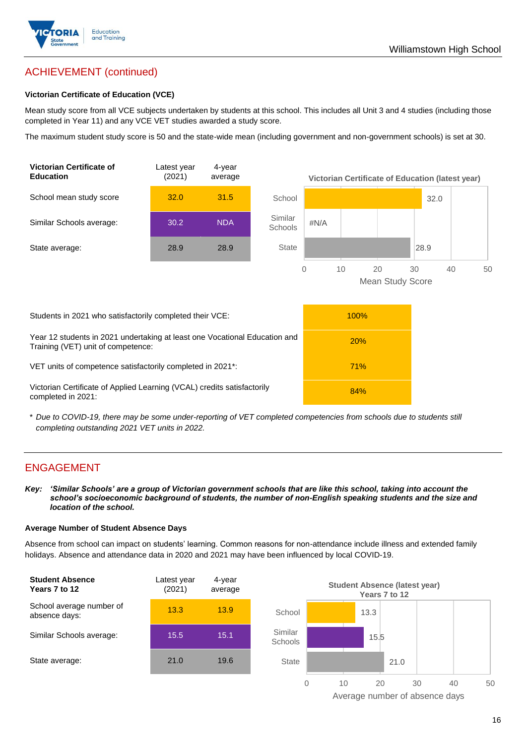

## ACHIEVEMENT (continued)

#### **Victorian Certificate of Education (VCE)**

Mean study score from all VCE subjects undertaken by students at this school. This includes all Unit 3 and 4 studies (including those completed in Year 11) and any VCE VET studies awarded a study score.

The maximum student study score is 50 and the state-wide mean (including government and non-government schools) is set at 30.



\* *Due to COVID-19, there may be some under-reporting of VET completed competencies from schools due to students still completing outstanding 2021 VET units in 2022.*

## ENGAGEMENT

*Key: 'Similar Schools' are a group of Victorian government schools that are like this school, taking into account the school's socioeconomic background of students, the number of non-English speaking students and the size and location of the school.*

#### **Average Number of Student Absence Days**

Absence from school can impact on students' learning. Common reasons for non-attendance include illness and extended family holidays. Absence and attendance data in 2020 and 2021 may have been influenced by local COVID-19.



Average number of absence days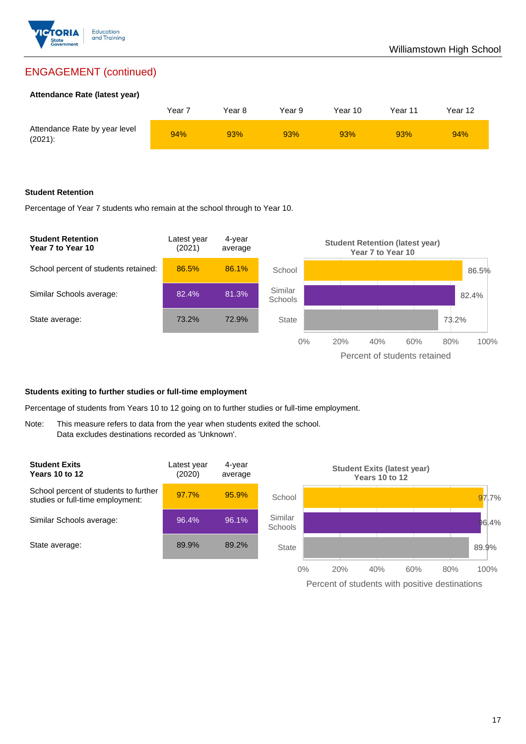

## ENGAGEMENT (continued)

#### **Attendance Rate (latest year)**

|                                             | Year 7 | Year 8 | Year 9 | Year 10 | Year 11 | Year 12 |
|---------------------------------------------|--------|--------|--------|---------|---------|---------|
| Attendance Rate by year level<br>$(2021)$ : | 94%    | 93%    | 93%    | 93%     | 93%     | 94%     |

#### **Student Retention**

Percentage of Year 7 students who remain at the school through to Year 10.



#### **Students exiting to further studies or full-time employment**

Percentage of students from Years 10 to 12 going on to further studies or full-time employment.

Note: This measure refers to data from the year when students exited the school. Data excludes destinations recorded as 'Unknown'.



Percent of students with positive destinations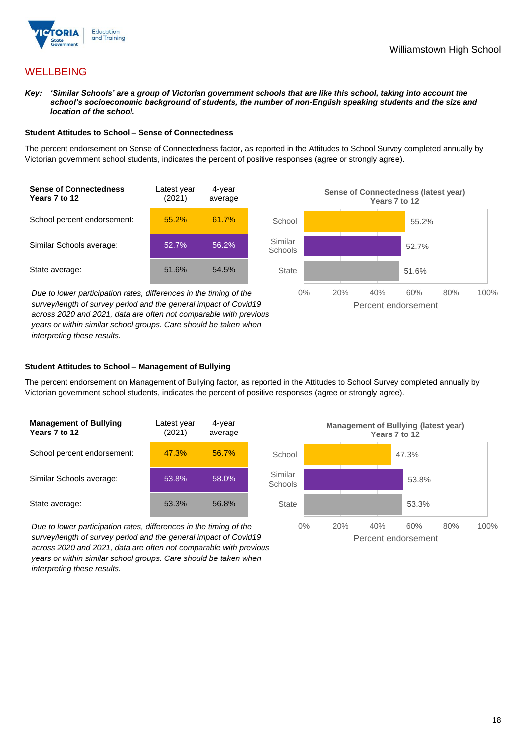

## **WELLBEING**

*Key: 'Similar Schools' are a group of Victorian government schools that are like this school, taking into account the school's socioeconomic background of students, the number of non-English speaking students and the size and location of the school.*

#### **Student Attitudes to School – Sense of Connectedness**

The percent endorsement on Sense of Connectedness factor, as reported in the Attitudes to School Survey completed annually by Victorian government school students, indicates the percent of positive responses (agree or strongly agree).



*Due to lower participation rates, differences in the timing of the survey/length of survey period and the general impact of Covid19 across 2020 and 2021, data are often not comparable with previous years or within similar school groups. Care should be taken when interpreting these results.*



#### **Student Attitudes to School – Management of Bullying**

The percent endorsement on Management of Bullying factor, as reported in the Attitudes to School Survey completed annually by Victorian government school students, indicates the percent of positive responses (agree or strongly agree).

| <b>Management of Bullying</b><br>Years 7 to 12 | Latest year<br>(2021) | 4-year<br>average |  |
|------------------------------------------------|-----------------------|-------------------|--|
| School percent endorsement:                    | 47.3%                 | 56.7%             |  |
| Similar Schools average:                       | 53.8%                 | 58.0%             |  |
| State average:                                 | 53.3%                 | 56.8%             |  |

*Due to lower participation rates, differences in the timing of the survey/length of survey period and the general impact of Covid19 across 2020 and 2021, data are often not comparable with previous years or within similar school groups. Care should be taken when interpreting these results.*

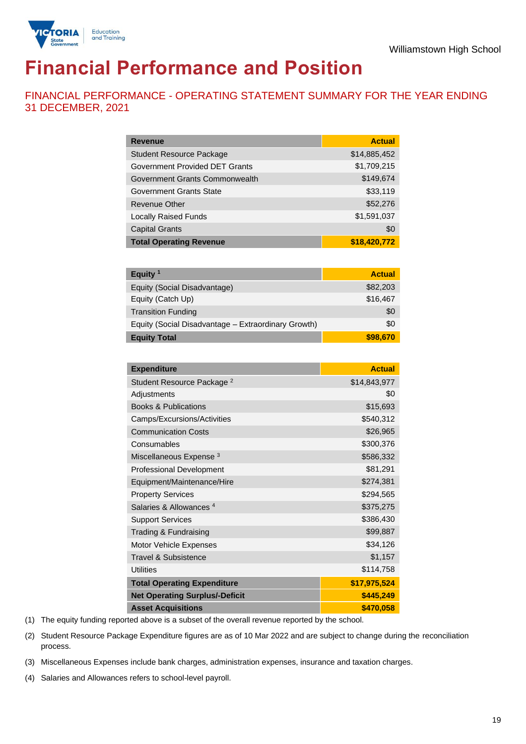

# **Financial Performance and Position**

FINANCIAL PERFORMANCE - OPERATING STATEMENT SUMMARY FOR THE YEAR ENDING 31 DECEMBER, 2021

| <b>Revenue</b>                  | <b>Actual</b> |
|---------------------------------|---------------|
| <b>Student Resource Package</b> | \$14,885,452  |
| Government Provided DET Grants  | \$1,709,215   |
| Government Grants Commonwealth  | \$149,674     |
| Government Grants State         | \$33,119      |
| Revenue Other                   | \$52,276      |
| <b>Locally Raised Funds</b>     | \$1,591,037   |
| <b>Capital Grants</b>           | \$0           |
| <b>Total Operating Revenue</b>  | \$18,420,772  |

| Equity <sup>1</sup>                                 | <b>Actual</b> |
|-----------------------------------------------------|---------------|
| Equity (Social Disadvantage)                        | \$82,203      |
| Equity (Catch Up)                                   | \$16,467      |
| <b>Transition Funding</b>                           | \$0           |
| Equity (Social Disadvantage - Extraordinary Growth) | \$0           |
| <b>Equity Total</b>                                 | \$98,670      |

| <b>Expenditure</b>                    | <b>Actual</b> |
|---------------------------------------|---------------|
| Student Resource Package <sup>2</sup> | \$14,843,977  |
| Adjustments                           | \$0           |
| <b>Books &amp; Publications</b>       | \$15,693      |
| Camps/Excursions/Activities           | \$540,312     |
| <b>Communication Costs</b>            | \$26,965      |
| Consumables                           | \$300,376     |
| Miscellaneous Expense <sup>3</sup>    | \$586,332     |
| <b>Professional Development</b>       | \$81,291      |
| Equipment/Maintenance/Hire            | \$274,381     |
| <b>Property Services</b>              | \$294,565     |
| Salaries & Allowances <sup>4</sup>    | \$375,275     |
| <b>Support Services</b>               | \$386,430     |
| Trading & Fundraising                 | \$99,887      |
| Motor Vehicle Expenses                | \$34,126      |
| <b>Travel &amp; Subsistence</b>       | \$1,157       |
| <b>Utilities</b>                      | \$114,758     |
| <b>Total Operating Expenditure</b>    | \$17,975,524  |
| <b>Net Operating Surplus/-Deficit</b> | \$445,249     |
| <b>Asset Acquisitions</b>             | \$470,058     |

(1) The equity funding reported above is a subset of the overall revenue reported by the school.

(2) Student Resource Package Expenditure figures are as of 10 Mar 2022 and are subject to change during the reconciliation process.

(3) Miscellaneous Expenses include bank charges, administration expenses, insurance and taxation charges.

(4) Salaries and Allowances refers to school-level payroll.